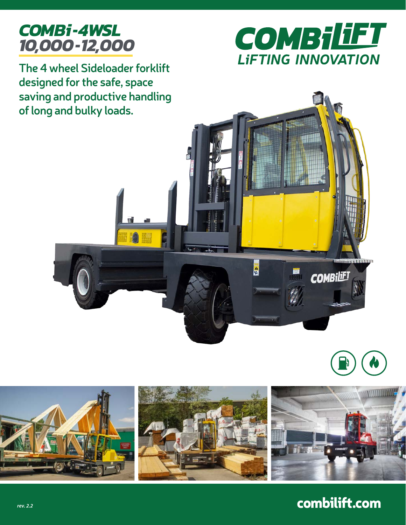

COMBILIFT **LIFTING INNOVATION** 

**The 4 wheel Sideloader forklift designed for the safe, space saving and productive handling of long and bulky loads.**









combilift.com